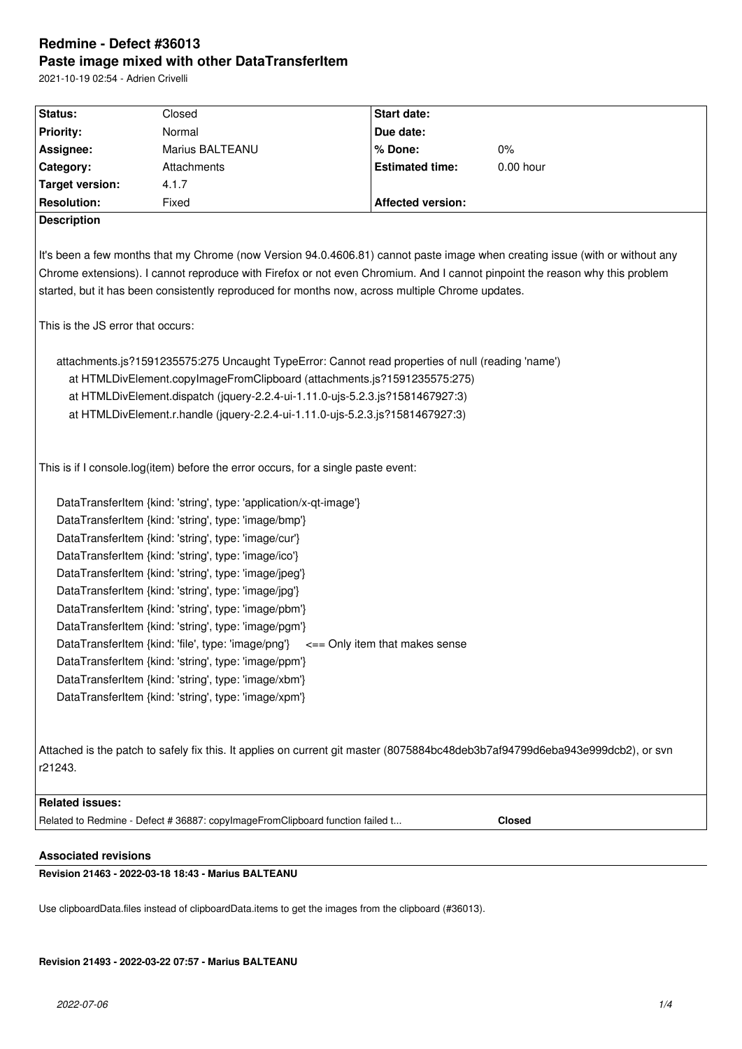# **Redmine - Defect #36013 Paste image mixed with other DataTransferItem**

2021-10-19 02:54 - Adrien Crivelli

| Status:                                                                                                                       | Closed                                                                                            | Start date:              |               |  |  |  |
|-------------------------------------------------------------------------------------------------------------------------------|---------------------------------------------------------------------------------------------------|--------------------------|---------------|--|--|--|
| <b>Priority:</b>                                                                                                              | Normal                                                                                            | Due date:                |               |  |  |  |
| Assignee:                                                                                                                     | Marius BALTEANU                                                                                   | % Done:                  | $0\%$         |  |  |  |
| Category:                                                                                                                     | Attachments                                                                                       | <b>Estimated time:</b>   | 0.00 hour     |  |  |  |
| <b>Target version:</b>                                                                                                        | 4.1.7                                                                                             |                          |               |  |  |  |
| <b>Resolution:</b>                                                                                                            | Fixed                                                                                             | <b>Affected version:</b> |               |  |  |  |
| <b>Description</b>                                                                                                            |                                                                                                   |                          |               |  |  |  |
|                                                                                                                               |                                                                                                   |                          |               |  |  |  |
| It's been a few months that my Chrome (now Version 94.0.4606.81) cannot paste image when creating issue (with or without any  |                                                                                                   |                          |               |  |  |  |
| Chrome extensions). I cannot reproduce with Firefox or not even Chromium. And I cannot pinpoint the reason why this problem   |                                                                                                   |                          |               |  |  |  |
|                                                                                                                               | started, but it has been consistently reproduced for months now, across multiple Chrome updates.  |                          |               |  |  |  |
|                                                                                                                               |                                                                                                   |                          |               |  |  |  |
| This is the JS error that occurs:                                                                                             |                                                                                                   |                          |               |  |  |  |
|                                                                                                                               |                                                                                                   |                          |               |  |  |  |
|                                                                                                                               | attachments.js?1591235575:275 Uncaught TypeError: Cannot read properties of null (reading 'name') |                          |               |  |  |  |
|                                                                                                                               | at HTMLDivElement.copyImageFromClipboard (attachments.js?1591235575:275)                          |                          |               |  |  |  |
|                                                                                                                               | at HTMLDivElement.dispatch (jquery-2.2.4-ui-1.11.0-ujs-5.2.3.js?1581467927:3)                     |                          |               |  |  |  |
|                                                                                                                               | at HTMLDivElement.r.handle (jquery-2.2.4-ui-1.11.0-ujs-5.2.3.js?1581467927:3)                     |                          |               |  |  |  |
|                                                                                                                               |                                                                                                   |                          |               |  |  |  |
|                                                                                                                               |                                                                                                   |                          |               |  |  |  |
|                                                                                                                               | This is if I console.log(item) before the error occurs, for a single paste event:                 |                          |               |  |  |  |
|                                                                                                                               |                                                                                                   |                          |               |  |  |  |
| DataTransferItem {kind: 'string', type: 'application/x-qt-image'}                                                             |                                                                                                   |                          |               |  |  |  |
| DataTransferItem {kind: 'string', type: 'image/bmp'}                                                                          |                                                                                                   |                          |               |  |  |  |
| DataTransferItem {kind: 'string', type: 'image/cur'}                                                                          |                                                                                                   |                          |               |  |  |  |
|                                                                                                                               | DataTransferItem {kind: 'string', type: 'image/ico'}                                              |                          |               |  |  |  |
| DataTransferItem {kind: 'string', type: 'image/jpeg'}                                                                         |                                                                                                   |                          |               |  |  |  |
|                                                                                                                               | DataTransferItem {kind: 'string', type: 'image/jpg'}                                              |                          |               |  |  |  |
| DataTransferItem {kind: 'string', type: 'image/pbm'}                                                                          |                                                                                                   |                          |               |  |  |  |
| DataTransferItem {kind: 'string', type: 'image/pgm'}                                                                          |                                                                                                   |                          |               |  |  |  |
| DataTransferItem {kind: 'file', type: 'image/png'} $\leq$ = Only item that makes sense                                        |                                                                                                   |                          |               |  |  |  |
| DataTransferItem {kind: 'string', type: 'image/ppm'}                                                                          |                                                                                                   |                          |               |  |  |  |
| DataTransferItem {kind: 'string', type: 'image/xbm'}                                                                          |                                                                                                   |                          |               |  |  |  |
|                                                                                                                               | DataTransferItem {kind: 'string', type: 'image/xpm'}                                              |                          |               |  |  |  |
|                                                                                                                               |                                                                                                   |                          |               |  |  |  |
|                                                                                                                               |                                                                                                   |                          |               |  |  |  |
| Attached is the patch to safely fix this. It applies on current git master (8075884bc48deb3b7af94799d6eba943e999dcb2), or svn |                                                                                                   |                          |               |  |  |  |
| r21243.                                                                                                                       |                                                                                                   |                          |               |  |  |  |
|                                                                                                                               |                                                                                                   |                          |               |  |  |  |
| <b>Related issues:</b>                                                                                                        |                                                                                                   |                          |               |  |  |  |
|                                                                                                                               | Related to Redmine - Defect # 36887: copylmageFromClipboard function failed t                     |                          | <b>Closed</b> |  |  |  |
|                                                                                                                               |                                                                                                   |                          |               |  |  |  |

# **Associated revisions**

**Revision 21463 - 2022-03-18 18:43 - Marius BALTEANU**

Use clipboardData.files instead of clipboardData.items to get the images from the clipboard (#36013).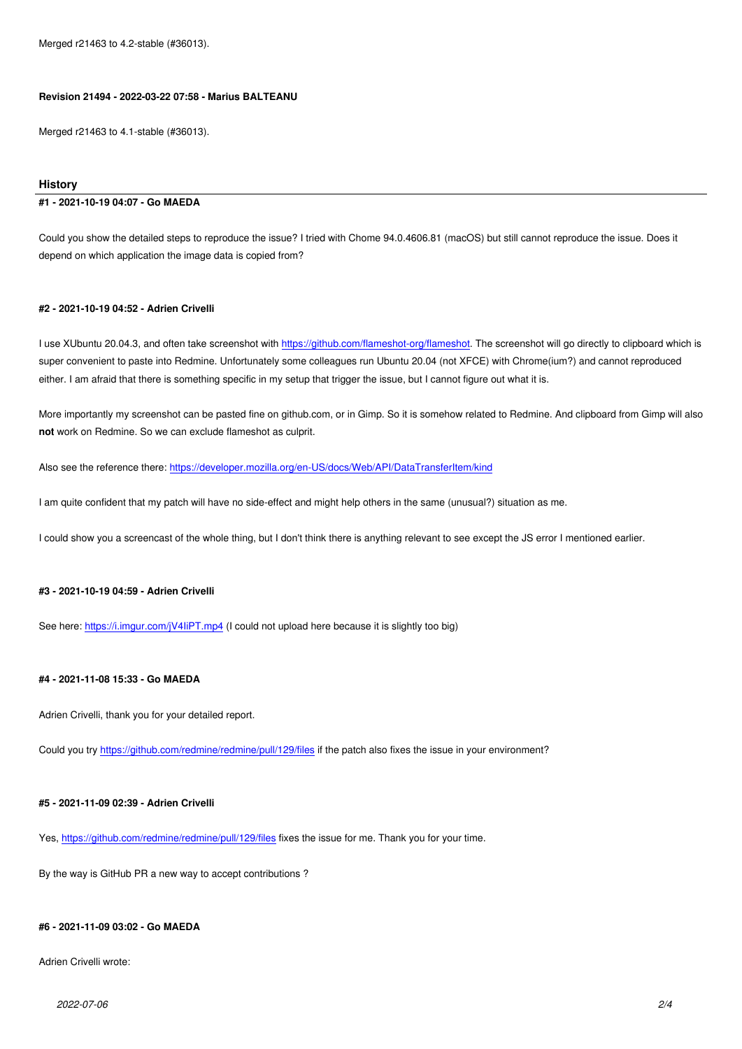Merged r21463 to 4.1-stable (#36013).

#### **History**

#### **#1 - 2021-10-19 04:07 - Go MAEDA**

Could you show the detailed steps to reproduce the issue? I tried with Chome 94.0.4606.81 (macOS) but still cannot reproduce the issue. Does it depend on which application the image data is copied from?

#### **#2 - 2021-10-19 04:52 - Adrien Crivelli**

I use XUbuntu 20.04.3, and often take screenshot with https://github.com/flameshot-org/flameshot. The screenshot will go directly to clipboard which is super convenient to paste into Redmine. Unfortunately some colleagues run Ubuntu 20.04 (not XFCE) with Chrome(ium?) and cannot reproduced either. I am afraid that there is something specific in my setup that trigger the issue, but I cannot figure out what it is.

More importantly my screenshot can be pasted fine on [github.com, or in Gimp. So it is somehow re](https://github.com/flameshot-org/flameshot)lated to Redmine. And clipboard from Gimp will also **not** work on Redmine. So we can exclude flameshot as culprit.

Also see the reference there: https://developer.mozilla.org/en-US/docs/Web/API/DataTransferItem/kind

I am quite confident that my patch will have no side-effect and might help others in the same (unusual?) situation as me.

I could show you a screenca[st of the whole thing, but I don't think there is anything relevant to see exce](https://developer.mozilla.org/en-US/docs/Web/API/DataTransferItem/kind)pt the JS error I mentioned earlier.

#### **#3 - 2021-10-19 04:59 - Adrien Crivelli**

See here: https://i.imgur.com/jV4IiPT.mp4 (I could not upload here because it is slightly too big)

### **#4 - 2021-[11-08 15:33 - Go MAEDA](https://i.imgur.com/jV4IiPT.mp4)**

Adrien Crivelli, thank you for your detailed report.

Could you try https://github.com/redmine/redmine/pull/129/files if the patch also fixes the issue in your environment?

#### **#5 - 2021-11-[09 02:39 - Adrien Crivelli](https://github.com/redmine/redmine/pull/129/files)**

Yes, https://github.com/redmine/redmine/pull/129/files fixes the issue for me. Thank you for your time.

By the way is GitHub PR a new way to accept contributions ?

## **#6 - 2021-11-09 03:02 - Go MAEDA**

Adrien Crivelli wrote: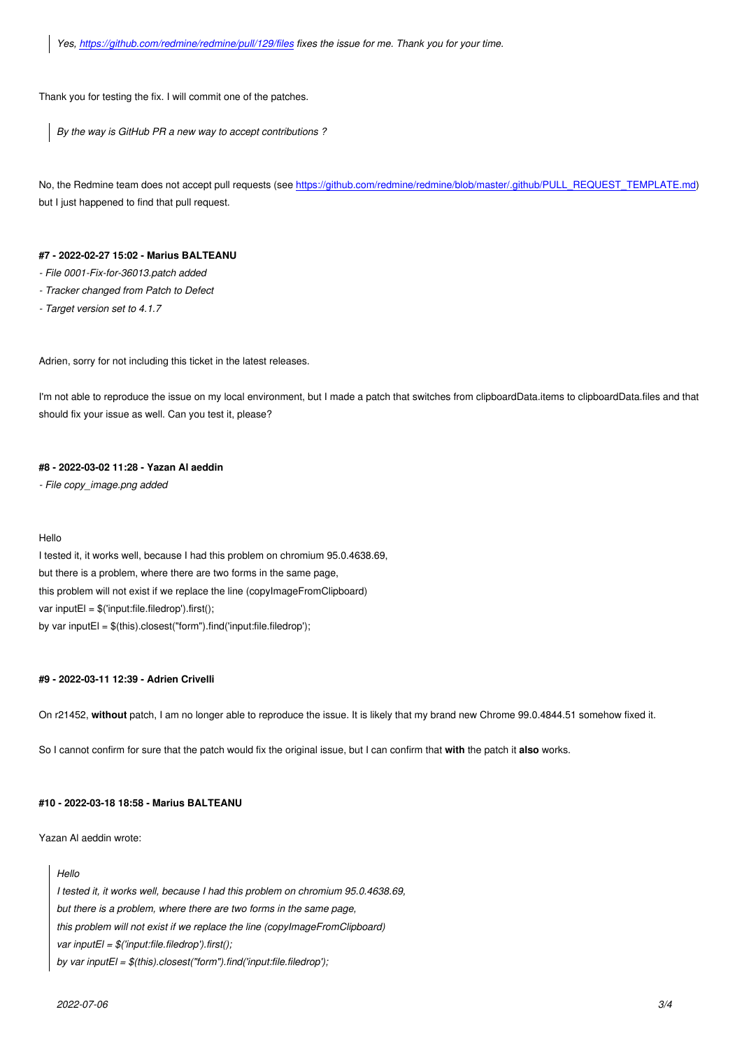Thank y[ou for testing the fix. I will commit one of the patch](https://github.com/redmine/redmine/pull/129/files)es.

*By the way is GitHub PR a new way to accept contributions ?*

No, the Redmine team does not accept pull requests (see https://github.com/redmine/redmine/blob/master/.github/PULL\_REQUEST\_TEMPLATE.md) but I just happened to find that pull request.

#### **#7 - 2022-02-27 15:02 - Marius BALTEANU**

*- File 0001-Fix-for-36013.patch added*

- *Tracker changed from Patch to Defect*
- *Target version set to 4.1.7*

Adrien, sorry for not including this ticket in the latest releases.

I'm not able to reproduce the issue on my local environment, but I made a patch that switches from clipboardData.items to clipboardData.files and that should fix your issue as well. Can you test it, please?

### **#8 - 2022-03-02 11:28 - Yazan Al aeddin**

*- File copy\_image.png added*

#### Hello

I tested it, it works well, because I had this problem on chromium 95.0.4638.69, but there is a problem, where there are two forms in the same page, this problem will not exist if we replace the line (copyImageFromClipboard) var inputEl = \$('input:file.filedrop').first(); by var inputEl = \$(this).closest("form").find('input:file.filedrop');

### **#9 - 2022-03-11 12:39 - Adrien Crivelli**

On r21452, **without** patch, I am no longer able to reproduce the issue. It is likely that my brand new Chrome 99.0.4844.51 somehow fixed it.

So I cannot confirm for sure that the patch would fix the original issue, but I can confirm that **with** the patch it **also** works.

### **#10 - 2022-03-18 18:58 - Marius BALTEANU**

Yazan Al aeddin wrote:

#### *Hello*

*I tested it, it works well, because I had this problem on chromium 95.0.4638.69, but there is a problem, where there are two forms in the same page, this problem will not exist if we replace the line (copyImageFromClipboard) var inputEl = \$('input:file.filedrop').first(); by var inputEl = \$(this).closest("form").find('input:file.filedrop');*